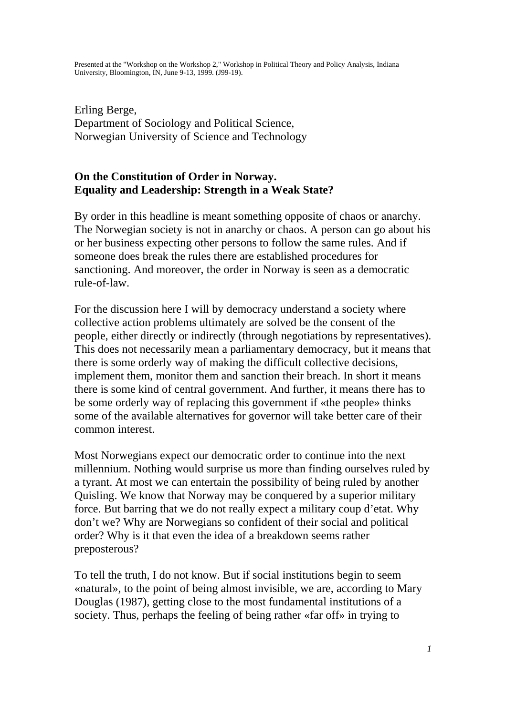Erling Berge, Department of Sociology and Political Science, Norwegian University of Science and Technology

# **On the Constitution of Order in Norway. Equality and Leadership: Strength in a Weak State?**

By order in this headline is meant something opposite of chaos or anarchy. The Norwegian society is not in anarchy or chaos. A person can go about his or her business expecting other persons to follow the same rules. And if someone does break the rules there are established procedures for sanctioning. And moreover, the order in Norway is seen as a democratic rule-of-law.

For the discussion here I will by democracy understand a society where collective action problems ultimately are solved be the consent of the people, either directly or indirectly (through negotiations by representatives). This does not necessarily mean a parliamentary democracy, but it means that there is some orderly way of making the difficult collective decisions, implement them, monitor them and sanction their breach. In short it means there is some kind of central government. And further, it means there has to be some orderly way of replacing this government if «the people» thinks some of the available alternatives for governor will take better care of their common interest.

Most Norwegians expect our democratic order to continue into the next millennium. Nothing would surprise us more than finding ourselves ruled by a tyrant. At most we can entertain the possibility of being ruled by another Quisling. We know that Norway may be conquered by a superior military force. But barring that we do not really expect a military coup d'etat. Why don't we? Why are Norwegians so confident of their social and political order? Why is it that even the idea of a breakdown seems rather preposterous?

To tell the truth, I do not know. But if social institutions begin to seem «natural», to the point of being almost invisible, we are, according to Mary Douglas (1987), getting close to the most fundamental institutions of a society. Thus, perhaps the feeling of being rather «far off» in trying to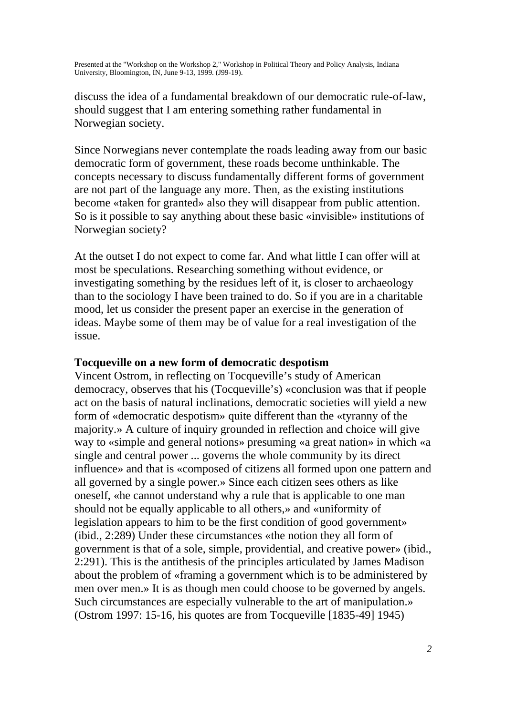discuss the idea of a fundamental breakdown of our democratic rule-of-law, should suggest that I am entering something rather fundamental in Norwegian society.

Since Norwegians never contemplate the roads leading away from our basic democratic form of government, these roads become unthinkable. The concepts necessary to discuss fundamentally different forms of government are not part of the language any more. Then, as the existing institutions become «taken for granted» also they will disappear from public attention. So is it possible to say anything about these basic «invisible» institutions of Norwegian society?

At the outset I do not expect to come far. And what little I can offer will at most be speculations. Researching something without evidence, or investigating something by the residues left of it, is closer to archaeology than to the sociology I have been trained to do. So if you are in a charitable mood, let us consider the present paper an exercise in the generation of ideas. Maybe some of them may be of value for a real investigation of the issue.

#### **Tocqueville on a new form of democratic despotism**

Vincent Ostrom, in reflecting on Tocqueville's study of American democracy, observes that his (Tocqueville's) «conclusion was that if people act on the basis of natural inclinations, democratic societies will yield a new form of «democratic despotism» quite different than the «tyranny of the majority.» A culture of inquiry grounded in reflection and choice will give way to «simple and general notions» presuming «a great nation» in which «a single and central power ... governs the whole community by its direct influence» and that is «composed of citizens all formed upon one pattern and all governed by a single power.» Since each citizen sees others as like oneself, «he cannot understand why a rule that is applicable to one man should not be equally applicable to all others,» and «uniformity of legislation appears to him to be the first condition of good government» (ibid., 2:289) Under these circumstances «the notion they all form of government is that of a sole, simple, providential, and creative power» (ibid., 2:291). This is the antithesis of the principles articulated by James Madison about the problem of «framing a government which is to be administered by men over men.» It is as though men could choose to be governed by angels. Such circumstances are especially vulnerable to the art of manipulation.» (Ostrom 1997: 15-16, his quotes are from Tocqueville [1835-49] 1945)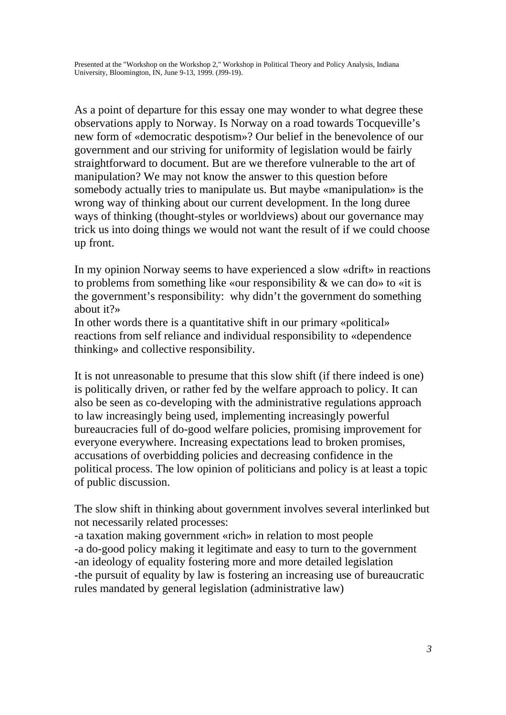As a point of departure for this essay one may wonder to what degree these observations apply to Norway. Is Norway on a road towards Tocqueville's new form of «democratic despotism»? Our belief in the benevolence of our government and our striving for uniformity of legislation would be fairly straightforward to document. But are we therefore vulnerable to the art of manipulation? We may not know the answer to this question before somebody actually tries to manipulate us. But maybe «manipulation» is the wrong way of thinking about our current development. In the long duree ways of thinking (thought-styles or worldviews) about our governance may trick us into doing things we would not want the result of if we could choose up front.

In my opinion Norway seems to have experienced a slow «drift» in reactions to problems from something like «our responsibility & we can do» to «it is the government's responsibility: why didn't the government do something about it?»

In other words there is a quantitative shift in our primary «political» reactions from self reliance and individual responsibility to «dependence thinking» and collective responsibility.

It is not unreasonable to presume that this slow shift (if there indeed is one) is politically driven, or rather fed by the welfare approach to policy. It can also be seen as co-developing with the administrative regulations approach to law increasingly being used, implementing increasingly powerful bureaucracies full of do-good welfare policies, promising improvement for everyone everywhere. Increasing expectations lead to broken promises, accusations of overbidding policies and decreasing confidence in the political process. The low opinion of politicians and policy is at least a topic of public discussion.

The slow shift in thinking about government involves several interlinked but not necessarily related processes:

-a taxation making government «rich» in relation to most people -a do-good policy making it legitimate and easy to turn to the government -an ideology of equality fostering more and more detailed legislation -the pursuit of equality by law is fostering an increasing use of bureaucratic rules mandated by general legislation (administrative law)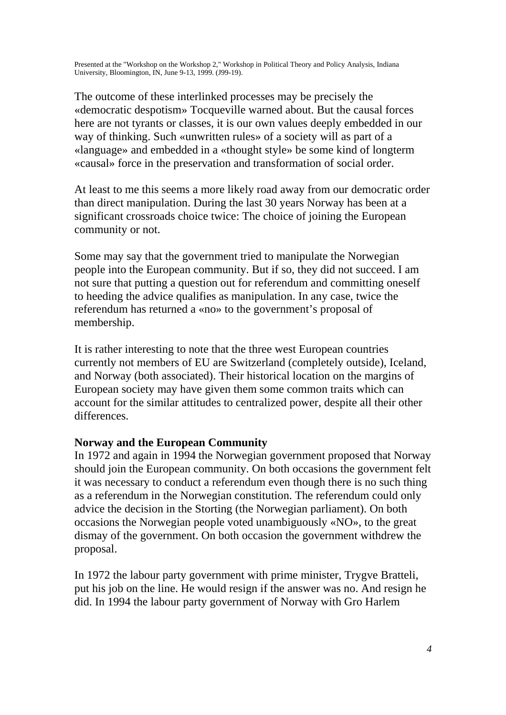The outcome of these interlinked processes may be precisely the «democratic despotism» Tocqueville warned about. But the causal forces here are not tyrants or classes, it is our own values deeply embedded in our way of thinking. Such «unwritten rules» of a society will as part of a «language» and embedded in a «thought style» be some kind of longterm «causal» force in the preservation and transformation of social order.

At least to me this seems a more likely road away from our democratic order than direct manipulation. During the last 30 years Norway has been at a significant crossroads choice twice: The choice of joining the European community or not.

Some may say that the government tried to manipulate the Norwegian people into the European community. But if so, they did not succeed. I am not sure that putting a question out for referendum and committing oneself to heeding the advice qualifies as manipulation. In any case, twice the referendum has returned a «no» to the government's proposal of membership.

It is rather interesting to note that the three west European countries currently not members of EU are Switzerland (completely outside), Iceland, and Norway (both associated). Their historical location on the margins of European society may have given them some common traits which can account for the similar attitudes to centralized power, despite all their other differences.

#### **Norway and the European Community**

In 1972 and again in 1994 the Norwegian government proposed that Norway should join the European community. On both occasions the government felt it was necessary to conduct a referendum even though there is no such thing as a referendum in the Norwegian constitution. The referendum could only advice the decision in the Storting (the Norwegian parliament). On both occasions the Norwegian people voted unambiguously «NO», to the great dismay of the government. On both occasion the government withdrew the proposal.

In 1972 the labour party government with prime minister, Trygve Bratteli, put his job on the line. He would resign if the answer was no. And resign he did. In 1994 the labour party government of Norway with Gro Harlem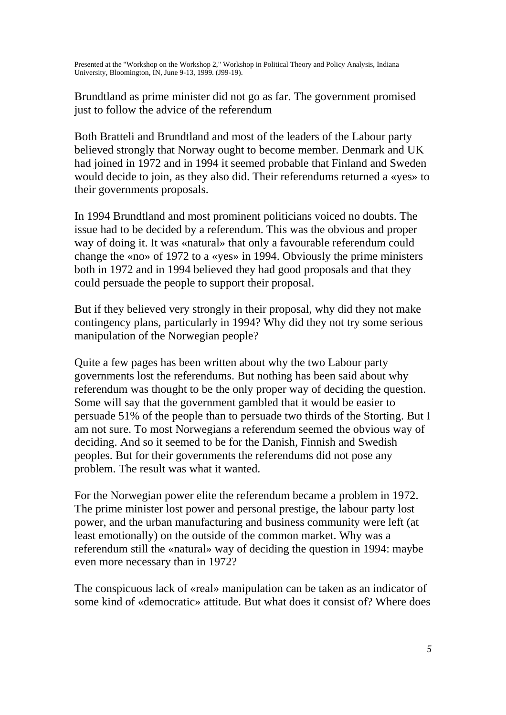Brundtland as prime minister did not go as far. The government promised just to follow the advice of the referendum

Both Bratteli and Brundtland and most of the leaders of the Labour party believed strongly that Norway ought to become member. Denmark and UK had joined in 1972 and in 1994 it seemed probable that Finland and Sweden would decide to join, as they also did. Their referendums returned a «yes» to their governments proposals.

In 1994 Brundtland and most prominent politicians voiced no doubts. The issue had to be decided by a referendum. This was the obvious and proper way of doing it. It was «natural» that only a favourable referendum could change the «no» of 1972 to a «yes» in 1994. Obviously the prime ministers both in 1972 and in 1994 believed they had good proposals and that they could persuade the people to support their proposal.

But if they believed very strongly in their proposal, why did they not make contingency plans, particularly in 1994? Why did they not try some serious manipulation of the Norwegian people?

Quite a few pages has been written about why the two Labour party governments lost the referendums. But nothing has been said about why referendum was thought to be the only proper way of deciding the question. Some will say that the government gambled that it would be easier to persuade 51% of the people than to persuade two thirds of the Storting. But I am not sure. To most Norwegians a referendum seemed the obvious way of deciding. And so it seemed to be for the Danish, Finnish and Swedish peoples. But for their governments the referendums did not pose any problem. The result was what it wanted.

For the Norwegian power elite the referendum became a problem in 1972. The prime minister lost power and personal prestige, the labour party lost power, and the urban manufacturing and business community were left (at least emotionally) on the outside of the common market. Why was a referendum still the «natural» way of deciding the question in 1994: maybe even more necessary than in 1972?

The conspicuous lack of «real» manipulation can be taken as an indicator of some kind of «democratic» attitude. But what does it consist of? Where does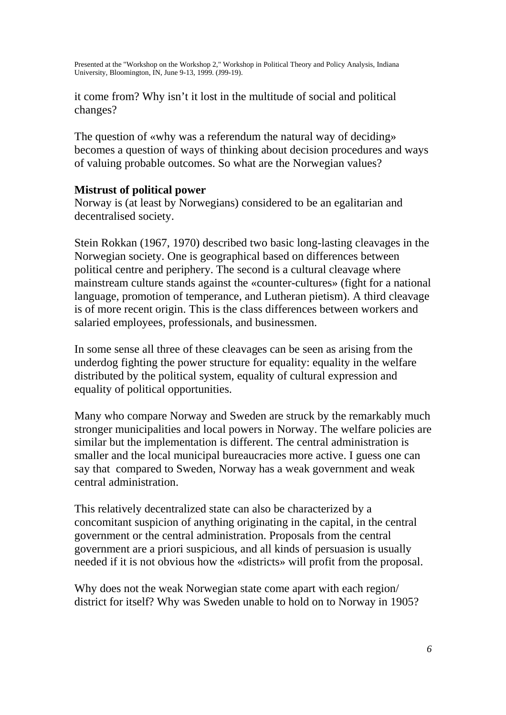it come from? Why isn't it lost in the multitude of social and political changes?

The question of «why was a referendum the natural way of deciding» becomes a question of ways of thinking about decision procedures and ways of valuing probable outcomes. So what are the Norwegian values?

# **Mistrust of political power**

Norway is (at least by Norwegians) considered to be an egalitarian and decentralised society.

Stein Rokkan (1967, 1970) described two basic long-lasting cleavages in the Norwegian society. One is geographical based on differences between political centre and periphery. The second is a cultural cleavage where mainstream culture stands against the «counter-cultures» (fight for a national language, promotion of temperance, and Lutheran pietism). A third cleavage is of more recent origin. This is the class differences between workers and salaried employees, professionals, and businessmen.

In some sense all three of these cleavages can be seen as arising from the underdog fighting the power structure for equality: equality in the welfare distributed by the political system, equality of cultural expression and equality of political opportunities.

Many who compare Norway and Sweden are struck by the remarkably much stronger municipalities and local powers in Norway. The welfare policies are similar but the implementation is different. The central administration is smaller and the local municipal bureaucracies more active. I guess one can say that compared to Sweden, Norway has a weak government and weak central administration.

This relatively decentralized state can also be characterized by a concomitant suspicion of anything originating in the capital, in the central government or the central administration. Proposals from the central government are a priori suspicious, and all kinds of persuasion is usually needed if it is not obvious how the «districts» will profit from the proposal.

Why does not the weak Norwegian state come apart with each region/ district for itself? Why was Sweden unable to hold on to Norway in 1905?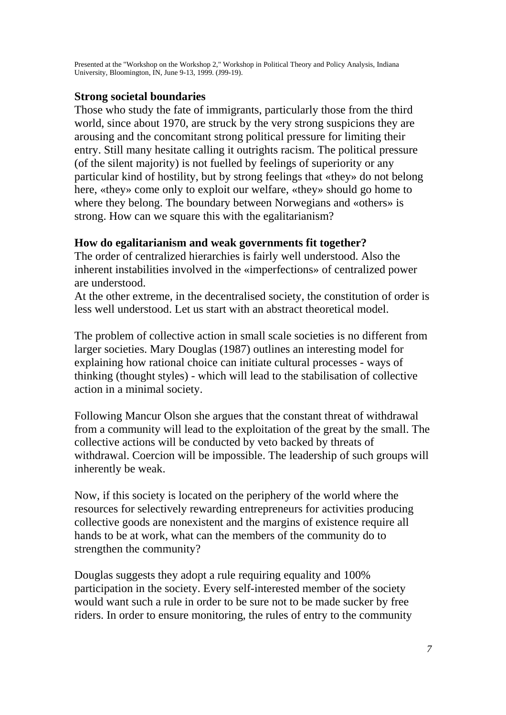## **Strong societal boundaries**

Those who study the fate of immigrants, particularly those from the third world, since about 1970, are struck by the very strong suspicions they are arousing and the concomitant strong political pressure for limiting their entry. Still many hesitate calling it outrights racism. The political pressure (of the silent majority) is not fuelled by feelings of superiority or any particular kind of hostility, but by strong feelings that «they» do not belong here, «they» come only to exploit our welfare, «they» should go home to where they belong. The boundary between Norwegians and «others» is strong. How can we square this with the egalitarianism?

## **How do egalitarianism and weak governments fit together?**

The order of centralized hierarchies is fairly well understood. Also the inherent instabilities involved in the «imperfections» of centralized power are understood.

At the other extreme, in the decentralised society, the constitution of order is less well understood. Let us start with an abstract theoretical model.

The problem of collective action in small scale societies is no different from larger societies. Mary Douglas (1987) outlines an interesting model for explaining how rational choice can initiate cultural processes - ways of thinking (thought styles) - which will lead to the stabilisation of collective action in a minimal society.

Following Mancur Olson she argues that the constant threat of withdrawal from a community will lead to the exploitation of the great by the small. The collective actions will be conducted by veto backed by threats of withdrawal. Coercion will be impossible. The leadership of such groups will inherently be weak.

Now, if this society is located on the periphery of the world where the resources for selectively rewarding entrepreneurs for activities producing collective goods are nonexistent and the margins of existence require all hands to be at work, what can the members of the community do to strengthen the community?

Douglas suggests they adopt a rule requiring equality and 100% participation in the society. Every self-interested member of the society would want such a rule in order to be sure not to be made sucker by free riders. In order to ensure monitoring, the rules of entry to the community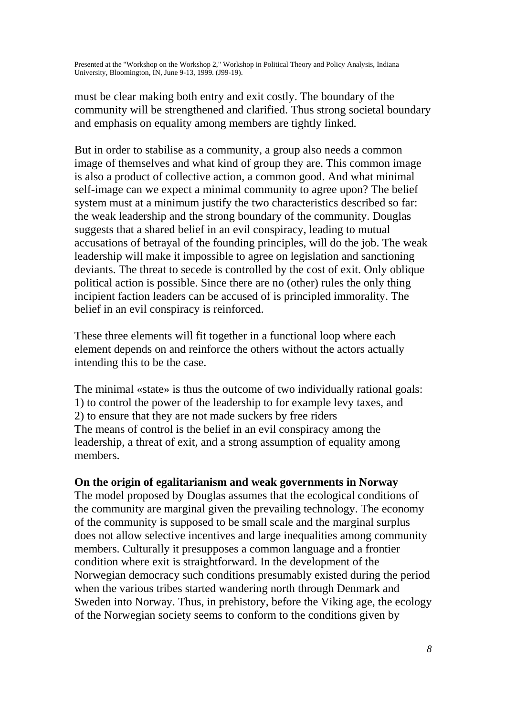must be clear making both entry and exit costly. The boundary of the community will be strengthened and clarified. Thus strong societal boundary and emphasis on equality among members are tightly linked.

But in order to stabilise as a community, a group also needs a common image of themselves and what kind of group they are. This common image is also a product of collective action, a common good. And what minimal self-image can we expect a minimal community to agree upon? The belief system must at a minimum justify the two characteristics described so far: the weak leadership and the strong boundary of the community. Douglas suggests that a shared belief in an evil conspiracy, leading to mutual accusations of betrayal of the founding principles, will do the job. The weak leadership will make it impossible to agree on legislation and sanctioning deviants. The threat to secede is controlled by the cost of exit. Only oblique political action is possible. Since there are no (other) rules the only thing incipient faction leaders can be accused of is principled immorality. The belief in an evil conspiracy is reinforced.

These three elements will fit together in a functional loop where each element depends on and reinforce the others without the actors actually intending this to be the case.

The minimal «state» is thus the outcome of two individually rational goals: 1) to control the power of the leadership to for example levy taxes, and 2) to ensure that they are not made suckers by free riders The means of control is the belief in an evil conspiracy among the leadership, a threat of exit, and a strong assumption of equality among members.

#### **On the origin of egalitarianism and weak governments in Norway**

The model proposed by Douglas assumes that the ecological conditions of the community are marginal given the prevailing technology. The economy of the community is supposed to be small scale and the marginal surplus does not allow selective incentives and large inequalities among community members. Culturally it presupposes a common language and a frontier condition where exit is straightforward. In the development of the Norwegian democracy such conditions presumably existed during the period when the various tribes started wandering north through Denmark and Sweden into Norway. Thus, in prehistory, before the Viking age, the ecology of the Norwegian society seems to conform to the conditions given by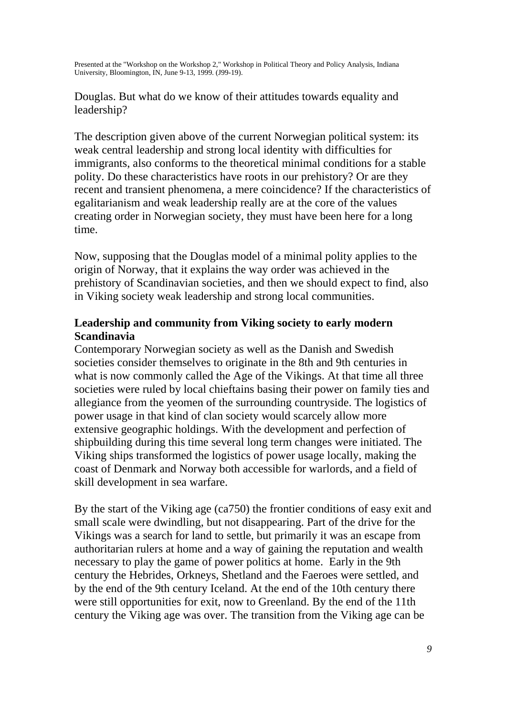Douglas. But what do we know of their attitudes towards equality and leadership?

The description given above of the current Norwegian political system: its weak central leadership and strong local identity with difficulties for immigrants, also conforms to the theoretical minimal conditions for a stable polity. Do these characteristics have roots in our prehistory? Or are they recent and transient phenomena, a mere coincidence? If the characteristics of egalitarianism and weak leadership really are at the core of the values creating order in Norwegian society, they must have been here for a long time.

Now, supposing that the Douglas model of a minimal polity applies to the origin of Norway, that it explains the way order was achieved in the prehistory of Scandinavian societies, and then we should expect to find, also in Viking society weak leadership and strong local communities.

# **Leadership and community from Viking society to early modern Scandinavia**

Contemporary Norwegian society as well as the Danish and Swedish societies consider themselves to originate in the 8th and 9th centuries in what is now commonly called the Age of the Vikings. At that time all three societies were ruled by local chieftains basing their power on family ties and allegiance from the yeomen of the surrounding countryside. The logistics of power usage in that kind of clan society would scarcely allow more extensive geographic holdings. With the development and perfection of shipbuilding during this time several long term changes were initiated. The Viking ships transformed the logistics of power usage locally, making the coast of Denmark and Norway both accessible for warlords, and a field of skill development in sea warfare.

By the start of the Viking age (ca750) the frontier conditions of easy exit and small scale were dwindling, but not disappearing. Part of the drive for the Vikings was a search for land to settle, but primarily it was an escape from authoritarian rulers at home and a way of gaining the reputation and wealth necessary to play the game of power politics at home. Early in the 9th century the Hebrides, Orkneys, Shetland and the Faeroes were settled, and by the end of the 9th century Iceland. At the end of the 10th century there were still opportunities for exit, now to Greenland. By the end of the 11th century the Viking age was over. The transition from the Viking age can be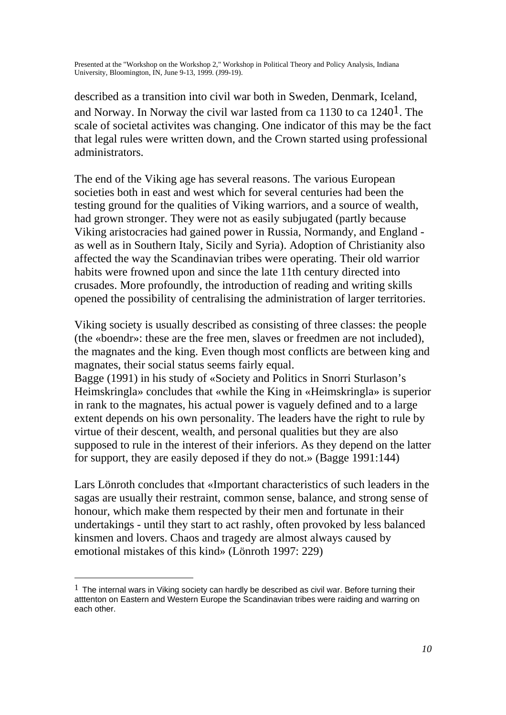described as a transition into civil war both in Sweden, Denmark, Iceland, and Norway. In Norway the civil war lasted from ca 1130 to ca 12401. The scale of societal activites was changing. One indicator of this may be the fact that legal rules were written down, and the Crown started using professional administrators.

The end of the Viking age has several reasons. The various European societies both in east and west which for several centuries had been the testing ground for the qualities of Viking warriors, and a source of wealth, had grown stronger. They were not as easily subjugated (partly because Viking aristocracies had gained power in Russia, Normandy, and England as well as in Southern Italy, Sicily and Syria). Adoption of Christianity also affected the way the Scandinavian tribes were operating. Their old warrior habits were frowned upon and since the late 11th century directed into crusades. More profoundly, the introduction of reading and writing skills opened the possibility of centralising the administration of larger territories.

Viking society is usually described as consisting of three classes: the people (the «boendr»: these are the free men, slaves or freedmen are not included), the magnates and the king. Even though most conflicts are between king and magnates, their social status seems fairly equal.

Bagge (1991) in his study of «Society and Politics in Snorri Sturlason's Heimskringla» concludes that «while the King in «Heimskringla» is superior in rank to the magnates, his actual power is vaguely defined and to a large extent depends on his own personality. The leaders have the right to rule by virtue of their descent, wealth, and personal qualities but they are also supposed to rule in the interest of their inferiors. As they depend on the latter for support, they are easily deposed if they do not.» (Bagge 1991:144)

Lars Lönroth concludes that «Important characteristics of such leaders in the sagas are usually their restraint, common sense, balance, and strong sense of honour, which make them respected by their men and fortunate in their undertakings - until they start to act rashly, often provoked by less balanced kinsmen and lovers. Chaos and tragedy are almost always caused by emotional mistakes of this kind» (Lönroth 1997: 229)

 $\overline{a}$ 

 $1$  The internal wars in Viking society can hardly be described as civil war. Before turning their atttenton on Eastern and Western Europe the Scandinavian tribes were raiding and warring on each other.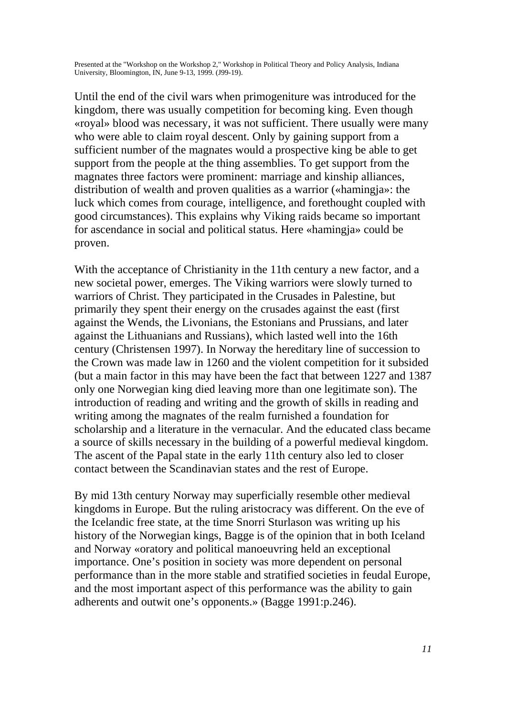Until the end of the civil wars when primogeniture was introduced for the kingdom, there was usually competition for becoming king. Even though «royal» blood was necessary, it was not sufficient. There usually were many who were able to claim royal descent. Only by gaining support from a sufficient number of the magnates would a prospective king be able to get support from the people at the thing assemblies. To get support from the magnates three factors were prominent: marriage and kinship alliances, distribution of wealth and proven qualities as a warrior («hamingja»: the luck which comes from courage, intelligence, and forethought coupled with good circumstances). This explains why Viking raids became so important for ascendance in social and political status. Here «hamingja» could be proven.

With the acceptance of Christianity in the 11th century a new factor, and a new societal power, emerges. The Viking warriors were slowly turned to warriors of Christ. They participated in the Crusades in Palestine, but primarily they spent their energy on the crusades against the east (first against the Wends, the Livonians, the Estonians and Prussians, and later against the Lithuanians and Russians), which lasted well into the 16th century (Christensen 1997). In Norway the hereditary line of succession to the Crown was made law in 1260 and the violent competition for it subsided (but a main factor in this may have been the fact that between 1227 and 1387 only one Norwegian king died leaving more than one legitimate son). The introduction of reading and writing and the growth of skills in reading and writing among the magnates of the realm furnished a foundation for scholarship and a literature in the vernacular. And the educated class became a source of skills necessary in the building of a powerful medieval kingdom. The ascent of the Papal state in the early 11th century also led to closer contact between the Scandinavian states and the rest of Europe.

By mid 13th century Norway may superficially resemble other medieval kingdoms in Europe. But the ruling aristocracy was different. On the eve of the Icelandic free state, at the time Snorri Sturlason was writing up his history of the Norwegian kings, Bagge is of the opinion that in both Iceland and Norway «oratory and political manoeuvring held an exceptional importance. One's position in society was more dependent on personal performance than in the more stable and stratified societies in feudal Europe, and the most important aspect of this performance was the ability to gain adherents and outwit one's opponents.» (Bagge 1991:p.246).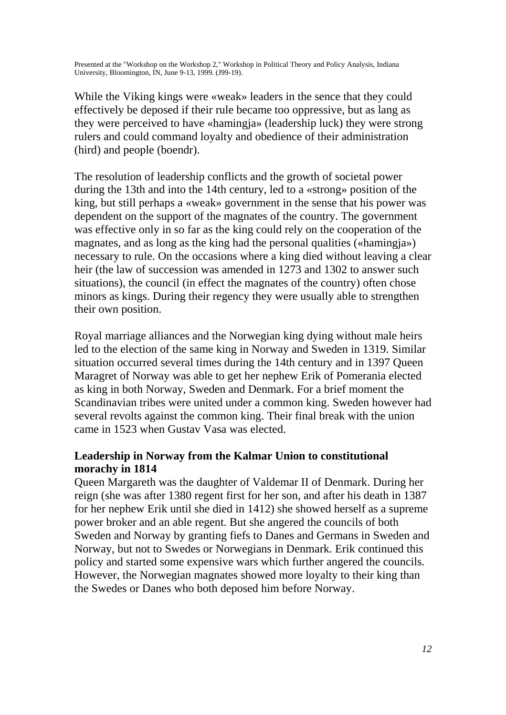While the Viking kings were «weak» leaders in the sence that they could effectively be deposed if their rule became too oppressive, but as lang as they were perceived to have «hamingja» (leadership luck) they were strong rulers and could command loyalty and obedience of their administration (hird) and people (boendr).

The resolution of leadership conflicts and the growth of societal power during the 13th and into the 14th century, led to a «strong» position of the king, but still perhaps a «weak» government in the sense that his power was dependent on the support of the magnates of the country. The government was effective only in so far as the king could rely on the cooperation of the magnates, and as long as the king had the personal qualities («hamingja») necessary to rule. On the occasions where a king died without leaving a clear heir (the law of succession was amended in 1273 and 1302 to answer such situations), the council (in effect the magnates of the country) often chose minors as kings. During their regency they were usually able to strengthen their own position.

Royal marriage alliances and the Norwegian king dying without male heirs led to the election of the same king in Norway and Sweden in 1319. Similar situation occurred several times during the 14th century and in 1397 Queen Maragret of Norway was able to get her nephew Erik of Pomerania elected as king in both Norway, Sweden and Denmark. For a brief moment the Scandinavian tribes were united under a common king. Sweden however had several revolts against the common king. Their final break with the union came in 1523 when Gustav Vasa was elected.

# **Leadership in Norway from the Kalmar Union to constitutional morachy in 1814**

Queen Margareth was the daughter of Valdemar II of Denmark. During her reign (she was after 1380 regent first for her son, and after his death in 1387 for her nephew Erik until she died in 1412) she showed herself as a supreme power broker and an able regent. But she angered the councils of both Sweden and Norway by granting fiefs to Danes and Germans in Sweden and Norway, but not to Swedes or Norwegians in Denmark. Erik continued this policy and started some expensive wars which further angered the councils. However, the Norwegian magnates showed more loyalty to their king than the Swedes or Danes who both deposed him before Norway.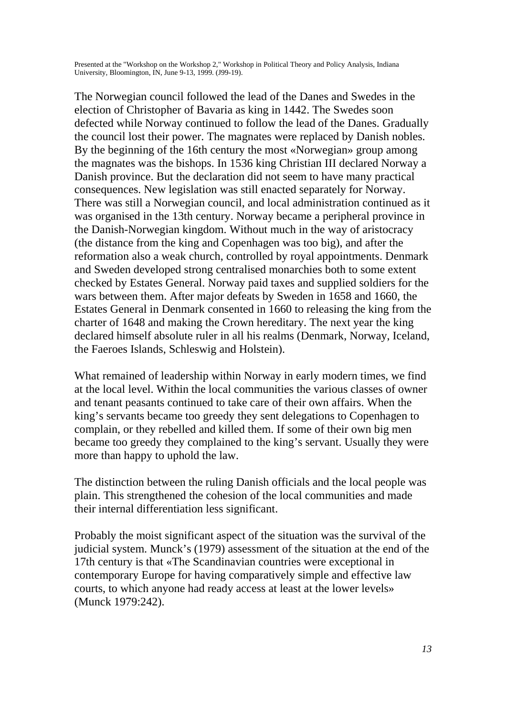The Norwegian council followed the lead of the Danes and Swedes in the election of Christopher of Bavaria as king in 1442. The Swedes soon defected while Norway continued to follow the lead of the Danes. Gradually the council lost their power. The magnates were replaced by Danish nobles. By the beginning of the 16th century the most «Norwegian» group among the magnates was the bishops. In 1536 king Christian III declared Norway a Danish province. But the declaration did not seem to have many practical consequences. New legislation was still enacted separately for Norway. There was still a Norwegian council, and local administration continued as it was organised in the 13th century. Norway became a peripheral province in the Danish-Norwegian kingdom. Without much in the way of aristocracy (the distance from the king and Copenhagen was too big), and after the reformation also a weak church, controlled by royal appointments. Denmark and Sweden developed strong centralised monarchies both to some extent checked by Estates General. Norway paid taxes and supplied soldiers for the wars between them. After major defeats by Sweden in 1658 and 1660, the Estates General in Denmark consented in 1660 to releasing the king from the charter of 1648 and making the Crown hereditary. The next year the king declared himself absolute ruler in all his realms (Denmark, Norway, Iceland, the Faeroes Islands, Schleswig and Holstein).

What remained of leadership within Norway in early modern times, we find at the local level. Within the local communities the various classes of owner and tenant peasants continued to take care of their own affairs. When the king's servants became too greedy they sent delegations to Copenhagen to complain, or they rebelled and killed them. If some of their own big men became too greedy they complained to the king's servant. Usually they were more than happy to uphold the law.

The distinction between the ruling Danish officials and the local people was plain. This strengthened the cohesion of the local communities and made their internal differentiation less significant.

Probably the moist significant aspect of the situation was the survival of the judicial system. Munck's (1979) assessment of the situation at the end of the 17th century is that «The Scandinavian countries were exceptional in contemporary Europe for having comparatively simple and effective law courts, to which anyone had ready access at least at the lower levels» (Munck 1979:242).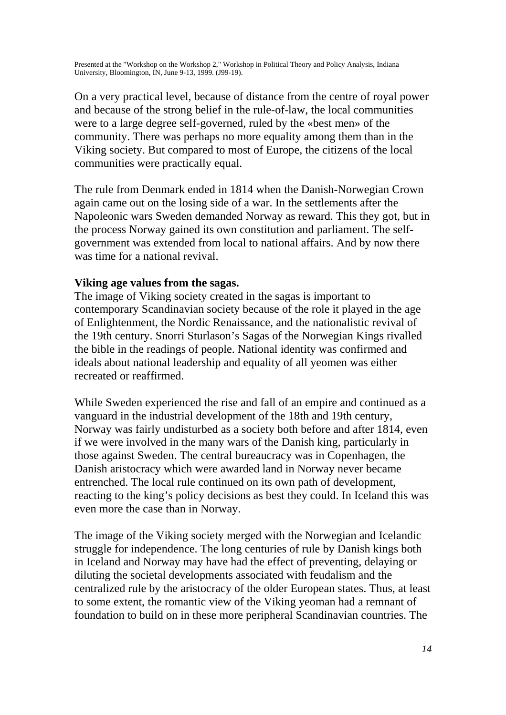On a very practical level, because of distance from the centre of royal power and because of the strong belief in the rule-of-law, the local communities were to a large degree self-governed, ruled by the «best men» of the community. There was perhaps no more equality among them than in the Viking society. But compared to most of Europe, the citizens of the local communities were practically equal.

The rule from Denmark ended in 1814 when the Danish-Norwegian Crown again came out on the losing side of a war. In the settlements after the Napoleonic wars Sweden demanded Norway as reward. This they got, but in the process Norway gained its own constitution and parliament. The selfgovernment was extended from local to national affairs. And by now there was time for a national revival.

## **Viking age values from the sagas.**

The image of Viking society created in the sagas is important to contemporary Scandinavian society because of the role it played in the age of Enlightenment, the Nordic Renaissance, and the nationalistic revival of the 19th century. Snorri Sturlason's Sagas of the Norwegian Kings rivalled the bible in the readings of people. National identity was confirmed and ideals about national leadership and equality of all yeomen was either recreated or reaffirmed.

While Sweden experienced the rise and fall of an empire and continued as a vanguard in the industrial development of the 18th and 19th century, Norway was fairly undisturbed as a society both before and after 1814, even if we were involved in the many wars of the Danish king, particularly in those against Sweden. The central bureaucracy was in Copenhagen, the Danish aristocracy which were awarded land in Norway never became entrenched. The local rule continued on its own path of development, reacting to the king's policy decisions as best they could. In Iceland this was even more the case than in Norway.

The image of the Viking society merged with the Norwegian and Icelandic struggle for independence. The long centuries of rule by Danish kings both in Iceland and Norway may have had the effect of preventing, delaying or diluting the societal developments associated with feudalism and the centralized rule by the aristocracy of the older European states. Thus, at least to some extent, the romantic view of the Viking yeoman had a remnant of foundation to build on in these more peripheral Scandinavian countries. The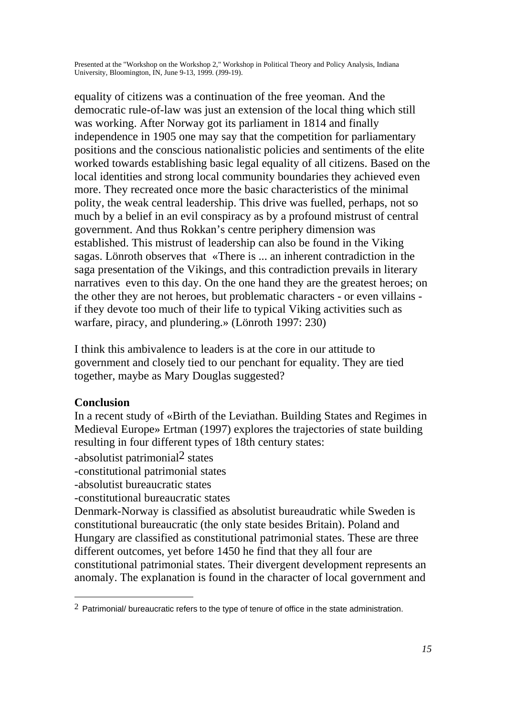equality of citizens was a continuation of the free yeoman. And the democratic rule-of-law was just an extension of the local thing which still was working. After Norway got its parliament in 1814 and finally independence in 1905 one may say that the competition for parliamentary positions and the conscious nationalistic policies and sentiments of the elite worked towards establishing basic legal equality of all citizens. Based on the local identities and strong local community boundaries they achieved even more. They recreated once more the basic characteristics of the minimal polity, the weak central leadership. This drive was fuelled, perhaps, not so much by a belief in an evil conspiracy as by a profound mistrust of central government. And thus Rokkan's centre periphery dimension was established. This mistrust of leadership can also be found in the Viking sagas. Lönroth observes that «There is ... an inherent contradiction in the saga presentation of the Vikings, and this contradiction prevails in literary narratives even to this day. On the one hand they are the greatest heroes; on the other they are not heroes, but problematic characters - or even villains if they devote too much of their life to typical Viking activities such as warfare, piracy, and plundering.» (Lönroth 1997: 230)

I think this ambivalence to leaders is at the core in our attitude to government and closely tied to our penchant for equality. They are tied together, maybe as Mary Douglas suggested?

# **Conclusion**

In a recent study of «Birth of the Leviathan. Building States and Regimes in Medieval Europe» Ertman (1997) explores the trajectories of state building resulting in four different types of 18th century states:

-absolutist patrimonial2 states

-constitutional patrimonial states

-absolutist bureaucratic states

-constitutional bureaucratic states

Denmark-Norway is classified as absolutist bureaudratic while Sweden is constitutional bureaucratic (the only state besides Britain). Poland and Hungary are classified as constitutional patrimonial states. These are three different outcomes, yet before 1450 he find that they all four are constitutional patrimonial states. Their divergent development represents an anomaly. The explanation is found in the character of local government and

 $2$  Patrimonial/ bureaucratic refers to the type of tenure of office in the state administration.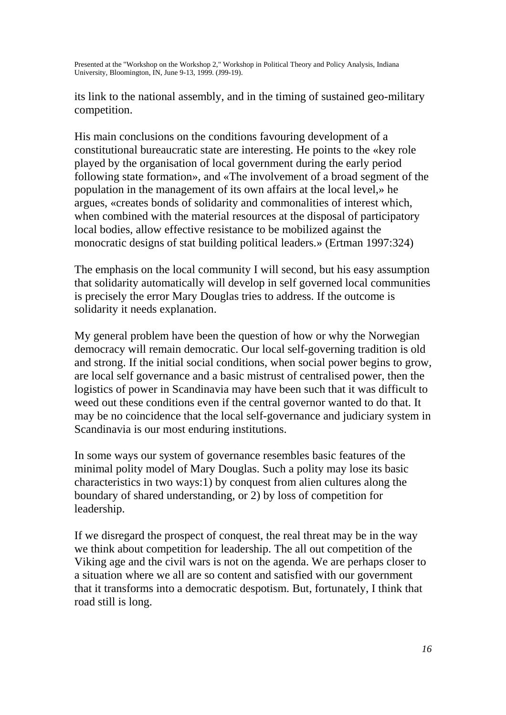its link to the national assembly, and in the timing of sustained geo-military competition.

His main conclusions on the conditions favouring development of a constitutional bureaucratic state are interesting. He points to the «key role played by the organisation of local government during the early period following state formation», and «The involvement of a broad segment of the population in the management of its own affairs at the local level,» he argues, «creates bonds of solidarity and commonalities of interest which, when combined with the material resources at the disposal of participatory local bodies, allow effective resistance to be mobilized against the monocratic designs of stat building political leaders.» (Ertman 1997:324)

The emphasis on the local community I will second, but his easy assumption that solidarity automatically will develop in self governed local communities is precisely the error Mary Douglas tries to address. If the outcome is solidarity it needs explanation.

My general problem have been the question of how or why the Norwegian democracy will remain democratic. Our local self-governing tradition is old and strong. If the initial social conditions, when social power begins to grow, are local self governance and a basic mistrust of centralised power, then the logistics of power in Scandinavia may have been such that it was difficult to weed out these conditions even if the central governor wanted to do that. It may be no coincidence that the local self-governance and judiciary system in Scandinavia is our most enduring institutions.

In some ways our system of governance resembles basic features of the minimal polity model of Mary Douglas. Such a polity may lose its basic characteristics in two ways:1) by conquest from alien cultures along the boundary of shared understanding, or 2) by loss of competition for leadership.

If we disregard the prospect of conquest, the real threat may be in the way we think about competition for leadership. The all out competition of the Viking age and the civil wars is not on the agenda. We are perhaps closer to a situation where we all are so content and satisfied with our government that it transforms into a democratic despotism. But, fortunately, I think that road still is long.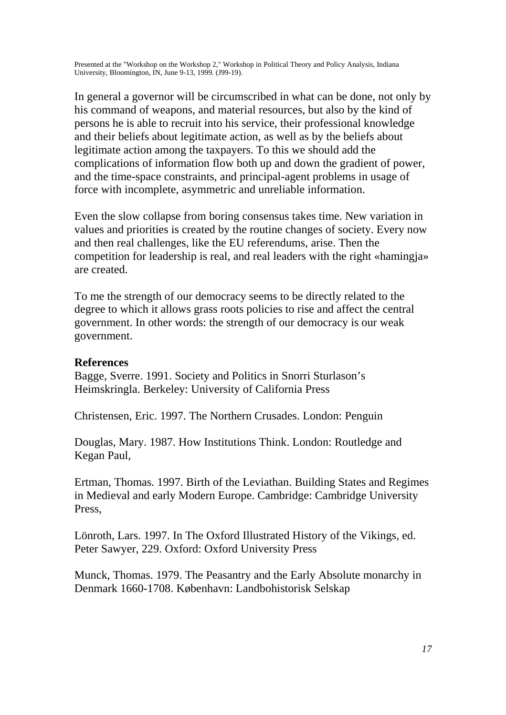In general a governor will be circumscribed in what can be done, not only by his command of weapons, and material resources, but also by the kind of persons he is able to recruit into his service, their professional knowledge and their beliefs about legitimate action, as well as by the beliefs about legitimate action among the taxpayers. To this we should add the complications of information flow both up and down the gradient of power, and the time-space constraints, and principal-agent problems in usage of force with incomplete, asymmetric and unreliable information.

Even the slow collapse from boring consensus takes time. New variation in values and priorities is created by the routine changes of society. Every now and then real challenges, like the EU referendums, arise. Then the competition for leadership is real, and real leaders with the right «hamingja» are created.

To me the strength of our democracy seems to be directly related to the degree to which it allows grass roots policies to rise and affect the central government. In other words: the strength of our democracy is our weak government.

#### **References**

Bagge, Sverre. 1991. Society and Politics in Snorri Sturlason's Heimskringla. Berkeley: University of California Press

Christensen, Eric. 1997. The Northern Crusades. London: Penguin

Douglas, Mary. 1987. How Institutions Think. London: Routledge and Kegan Paul,

Ertman, Thomas. 1997. Birth of the Leviathan. Building States and Regimes in Medieval and early Modern Europe. Cambridge: Cambridge University Press,

Lönroth, Lars. 1997. In The Oxford Illustrated History of the Vikings, ed. Peter Sawyer, 229. Oxford: Oxford University Press

Munck, Thomas. 1979. The Peasantry and the Early Absolute monarchy in Denmark 1660-1708. København: Landbohistorisk Selskap